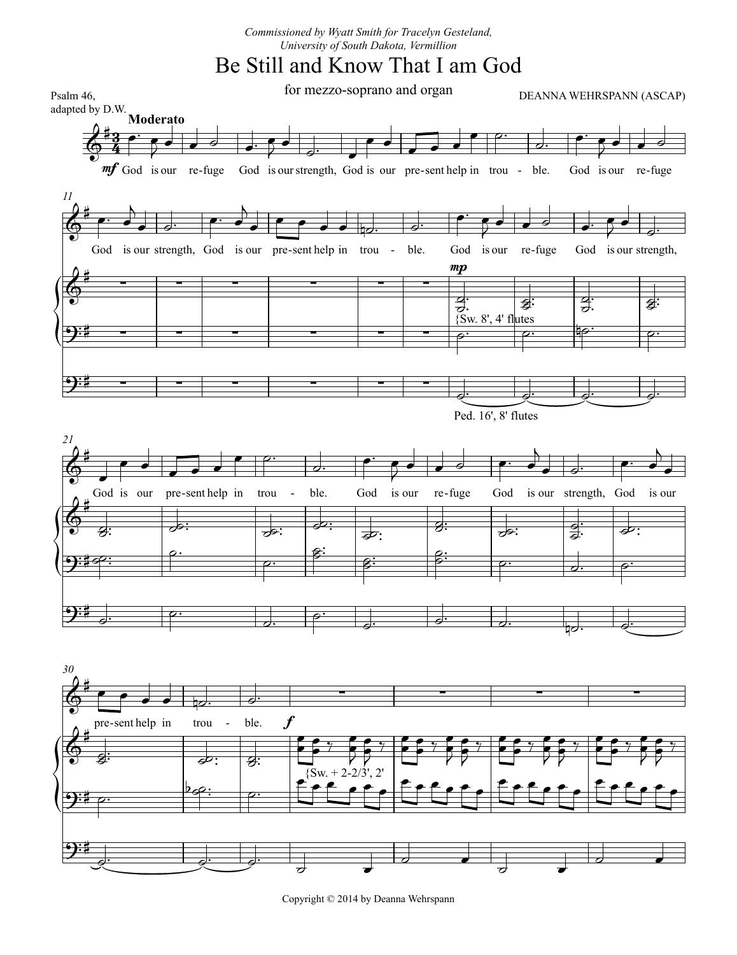## Be Still and Know That I am God



Copyright © 2014 by Deanna Wehrspann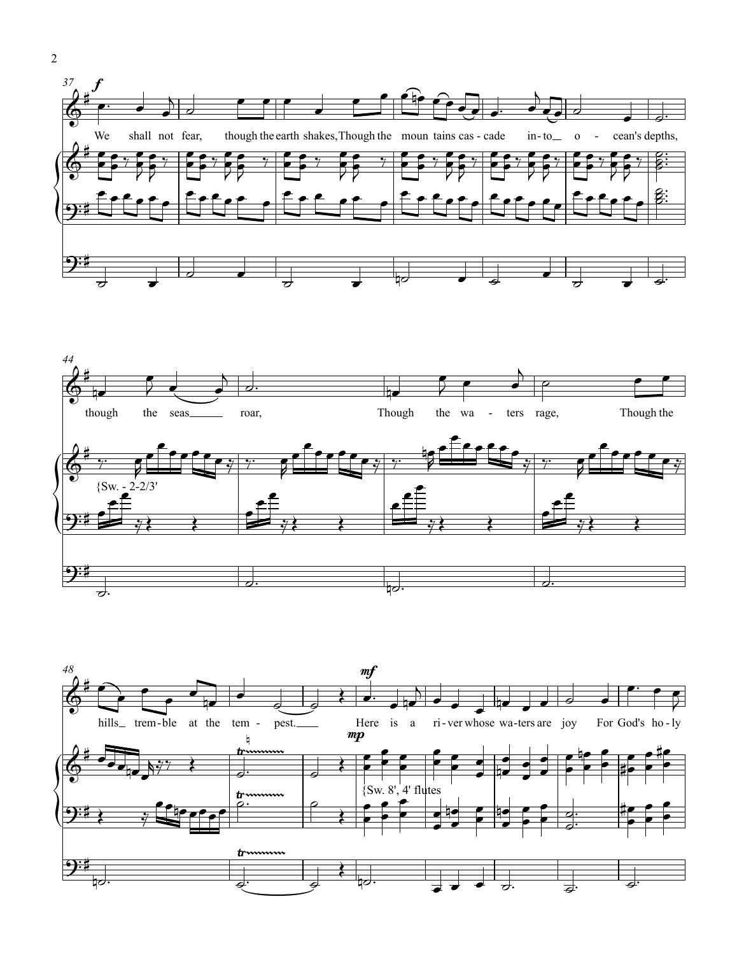



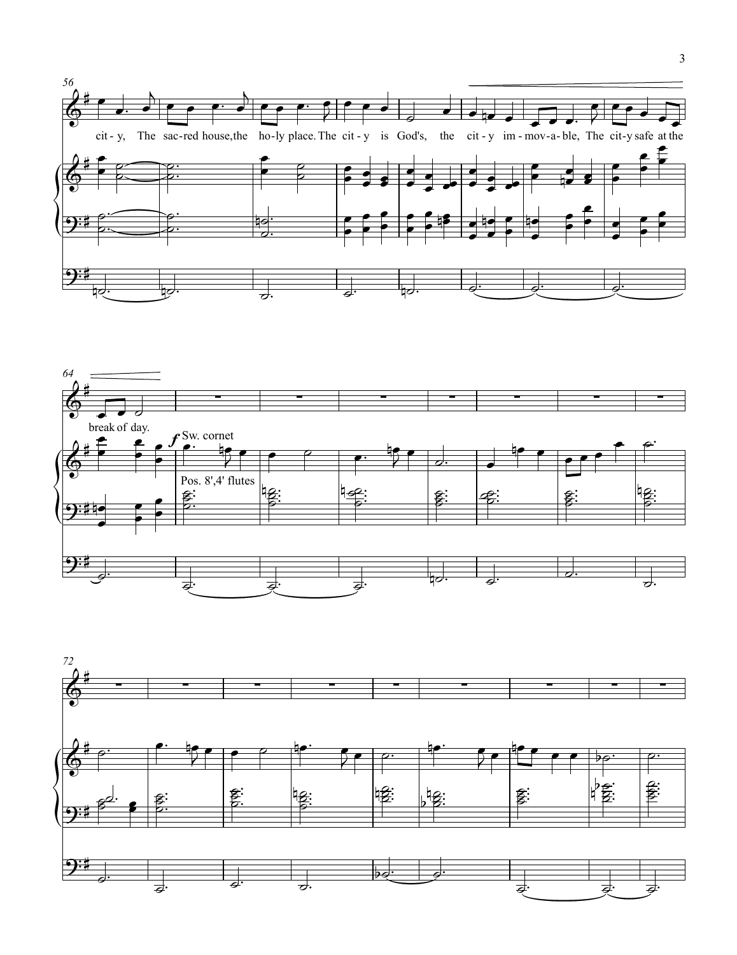



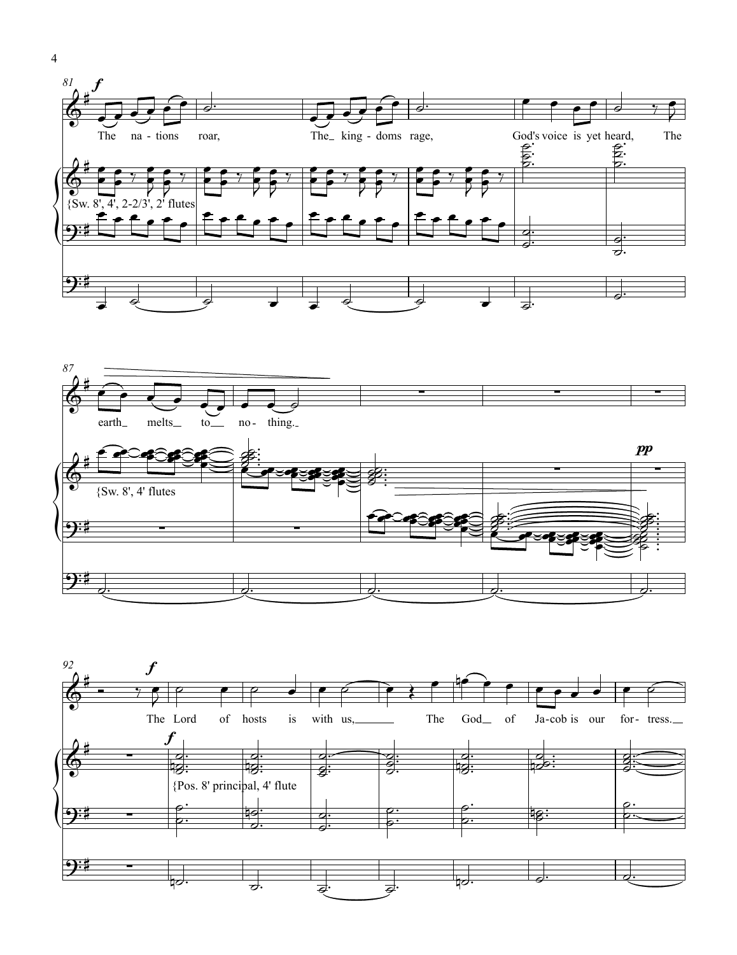





4